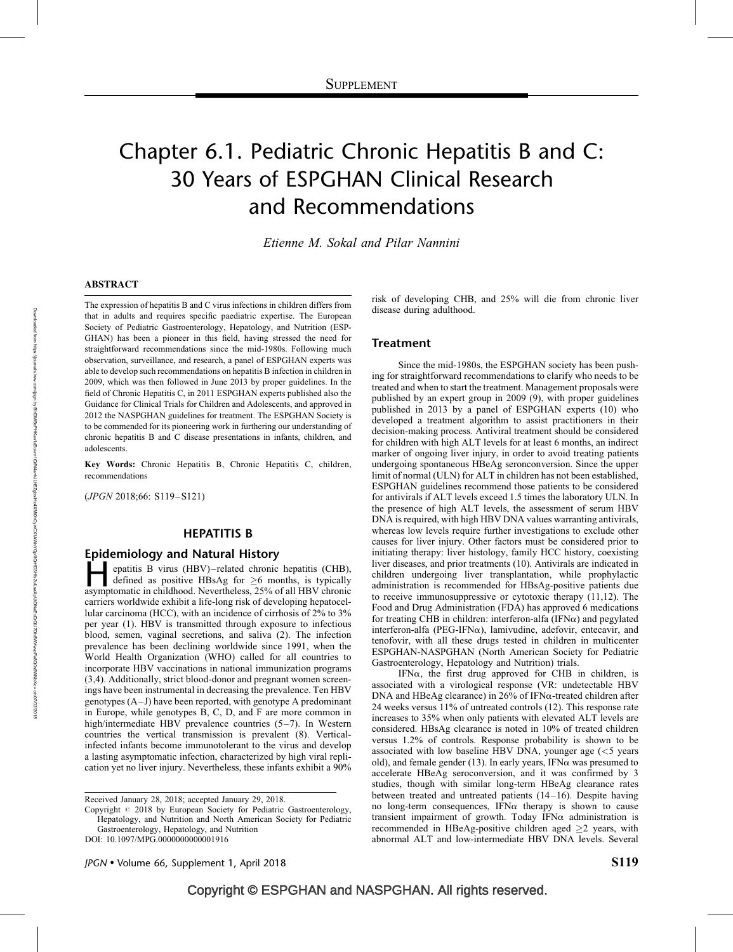# Chapter 6.1. Pediatric Chronic Hepatitis B and C: 30 Years of ESPGHAN Clinical Research and Recommendations

Etienne M. Sokal and Pilar Nannini

### ABSTRACT

The expression of hepatitis B and C virus infections in children differs from that in adults and requires specific paediatric expertise. The European Society of Pediatric Gastroenterology, Hepatology, and Nutrition (ESP-GHAN) has been a pioneer in this field, having stressed the need for straightforward recommendations since the mid-1980s. Following much observation, surveillance, and research, a panel of ESPGHAN experts was able to develop such recommendations on hepatitis B infection in children in 2009, which was then followed in June 2013 by proper guidelines. In the field of Chronic Hepatitis C, in 2011 ESPGHAN experts published also the Guidance for Clinical Trials for Children and Adolescents, and approved in 2012 the NASPGHAN guidelines for treatment. The ESPGHAN Society is to be commended for its pioneering work in furthering our understanding of chronic hepatitis B and C disease presentations in infants, children, and adolescents.

Key Words: Chronic Hepatitis B, Chronic Hepatitis C, children, recommendations

(JPGN 2018;66: S119–S121)

## HEPATITIS B

### Epidemiology and Natural History

epatitis B virus (HBV)–related chronic hepatitis (CHB), defined as positive HBsAg for  $\geq$ 6 months, is typically asymptomatic in childhood. Nevertheless, 25% of all HBV chronic defined as positive HBsAg for  $\geq 6$  months, is typically asymptomatic in childhood. Nevertheless, 25% of all HBV chronic carriers worldwide exhibit a life-long risk of developing hepatocellular carcinoma (HCC), with an incidence of cirrhosis of 2% to 3% per year (1). HBV is transmitted through exposure to infectious blood, semen, vaginal secretions, and saliva (2). The infection prevalence has been declining worldwide since 1991, when the World Health Organization (WHO) called for all countries to incorporate HBV vaccinations in national immunization programs (3,4). Additionally, strict blood-donor and pregnant women screenings have been instrumental in decreasing the prevalence. Ten HBV genotypes (A–J) have been reported, with genotype A predominant in Europe, while genotypes B, C, D, and F are more common in high/intermediate HBV prevalence countries (5–7). In Western countries the vertical transmission is prevalent (8). Verticalinfected infants become immunotolerant to the virus and develop a lasting asymptomatic infection, characterized by high viral replication yet no liver injury. Nevertheless, these infants exhibit a 90%

Received January 28, 2018; accepted January 29, 2018.

Copyright  $\oslash$  2018 by European Society for Pediatric Gastroenterology, Hepatology, and Nutrition and North American Society for Pediatric Gastroenterology, Hepatology, and Nutrition

DOI: [10.1097/MPG.0000000000001916](http://dx.doi.org/10.1097/MPG.0000000000001916)

risk of developing CHB, and 25% will die from chronic liver disease during adulthood.

#### **Treatment**

Since the mid-1980s, the ESPGHAN society has been pushing for straightforward recommendations to clarify who needs to be treated and when to start the treatment. Management proposals were published by an expert group in 2009 (9), with proper guidelines published in 2013 by a panel of ESPGHAN experts (10) who developed a treatment algorithm to assist practitioners in their decision-making process. Antiviral treatment should be considered for children with high ALT levels for at least 6 months, an indirect marker of ongoing liver injury, in order to avoid treating patients undergoing spontaneous HBeAg seronconversion. Since the upper limit of normal (ULN) for ALT in children has not been established, ESPGHAN guidelines recommend those patients to be considered for antivirals if ALT levels exceed 1.5 times the laboratory ULN. In the presence of high ALT levels, the assessment of serum HBV DNA is required, with high HBV DNA values warranting antivirals, whereas low levels require further investigations to exclude other causes for liver injury. Other factors must be considered prior to initiating therapy: liver histology, family HCC history, coexisting liver diseases, and prior treatments (10). Antivirals are indicated in children undergoing liver transplantation, while prophylactic administration is recommended for HBsAg-positive patients due to receive immunosuppressive or cytotoxic therapy (11,12). The Food and Drug Administration (FDA) has approved 6 medications for treating CHB in children: interferon-alfa (IFN $\alpha$ ) and pegylated interferon-alfa (PEG-IFN $\alpha$ ), lamivudine, adefovir, entecavir, and tenofovir, with all these drugs tested in children in multicenter ESPGHAN-NASPGHAN (North American Society for Pediatric Gastroenterology, Hepatology and Nutrition) trials.

IFN $\alpha$ , the first drug approved for CHB in children, is associated with a virological response (VR: undetectable HBV DNA and HBeAg clearance) in  $26\%$  of IFN $\alpha$ -treated children after 24 weeks versus 11% of untreated controls (12). This response rate increases to 35% when only patients with elevated ALT levels are considered. HBsAg clearance is noted in 10% of treated children versus 1.2% of controls. Response probability is shown to be associated with low baseline HBV DNA, younger age  $\ll$  5 years old), and female gender (13). In early years, IFN $\alpha$  was presumed to accelerate HBeAg seroconversion, and it was confirmed by 3 studies, though with similar long-term HBeAg clearance rates between treated and untreated patients (14–16). Despite having no long-term consequences, IFN $\alpha$  therapy is shown to cause transient impairment of growth. Today IFN $\alpha$  administration is recommended in HBeAg-positive children aged  $\geq 2$  years, with abnormal ALT and low-intermediate HBV DNA levels. Several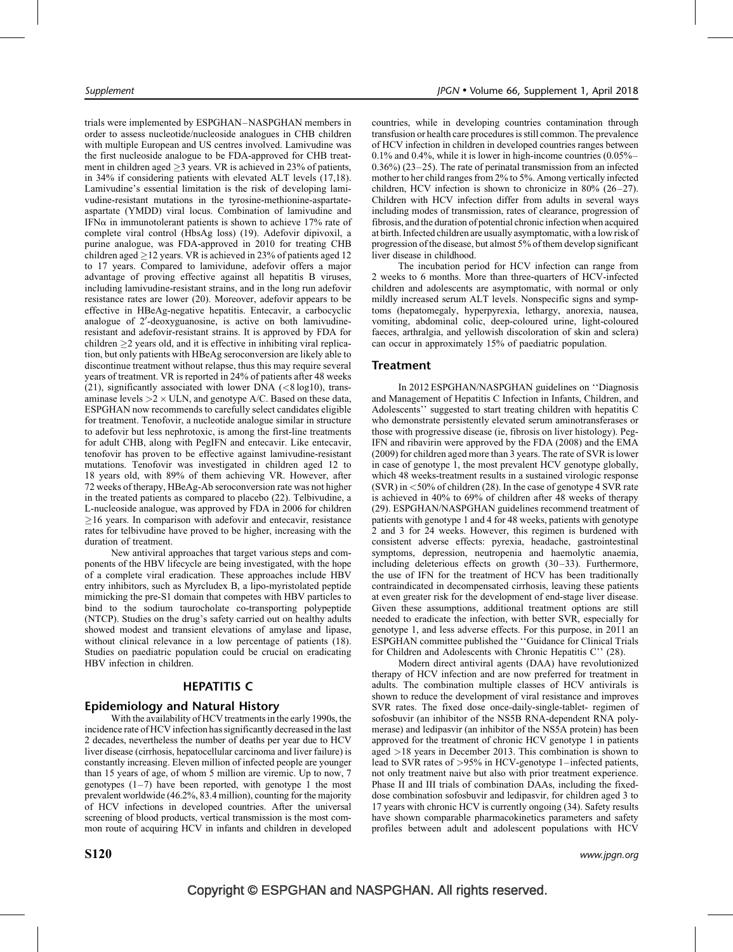trials were implemented by ESPGHAN–NASPGHAN members in order to assess nucleotide/nucleoside analogues in CHB children with multiple European and US centres involved. Lamivudine was the first nucleoside analogue to be FDA-approved for CHB treatment in children aged  $\geq$ 3 years. VR is achieved in 23% of patients, in 34% if considering patients with elevated ALT levels (17,18). Lamivudine's essential limitation is the risk of developing lamivudine-resistant mutations in the tyrosine-methionine-aspartateaspartate (YMDD) viral locus. Combination of lamivudine and IFN $\alpha$  in immunotolerant patients is shown to achieve 17% rate of complete viral control (HbsAg loss) (19). Adefovir dipivoxil, a purine analogue, was FDA-approved in 2010 for treating CHB children aged  $\geq$  12 years. VR is achieved in 23% of patients aged 12 to 17 years. Compared to lamividune, adefovir offers a major advantage of proving effective against all hepatitis B viruses, including lamivudine-resistant strains, and in the long run adefovir resistance rates are lower (20). Moreover, adefovir appears to be effective in HBeAg-negative hepatitis. Entecavir, a carbocyclic analogue of 2'-deoxyguanosine, is active on both lamivudineresistant and adefovir-resistant strains. It is approved by FDA for children  $\geq$ 2 years old, and it is effective in inhibiting viral replication, but only patients with HBeAg seroconversion are likely able to discontinue treatment without relapse, thus this may require several years of treatment. VR is reported in 24% of patients after 48 weeks (21), significantly associated with lower DNA  $\ll$ 8 log10), transaminase levels  $>2 \times$  ULN, and genotype A/C. Based on these data, ESPGHAN now recommends to carefully select candidates eligible for treatment. Tenofovir, a nucleotide analogue similar in structure to adefovir but less nephrotoxic, is among the first-line treatments for adult CHB, along with PegIFN and entecavir. Like entecavir, tenofovir has proven to be effective against lamivudine-resistant mutations. Tenofovir was investigated in children aged 12 to 18 years old, with 89% of them achieving VR. However, after 72 weeks of therapy, HBeAg-Ab seroconversion rate was not higher in the treated patients as compared to placebo (22). Telbivudine, a L-nucleoside analogue, was approved by FDA in 2006 for children  $\geq$ 16 years. In comparison with adefovir and entecavir, resistance rates for telbivudine have proved to be higher, increasing with the duration of treatment.

New antiviral approaches that target various steps and components of the HBV lifecycle are being investigated, with the hope of a complete viral eradication. These approaches include HBV entry inhibitors, such as Myrcludex B, a lipo-myristolated peptide mimicking the pre-S1 domain that competes with HBV particles to bind to the sodium taurocholate co-transporting polypeptide (NTCP). Studies on the drug's safety carried out on healthy adults showed modest and transient elevations of amylase and lipase, without clinical relevance in a low percentage of patients (18). Studies on paediatric population could be crucial on eradicating HBV infection in children.

## HEPATITIS C

## Epidemiology and Natural History

With the availability of HCV treatments in the early 1990s, the incidence rate of HCV infection has significantly decreased in the last 2 decades, nevertheless the number of deaths per year due to HCV liver disease (cirrhosis, hepatocellular carcinoma and liver failure) is constantly increasing. Eleven million of infected people are younger than 15 years of age, of whom 5 million are viremic. Up to now, 7 genotypes  $(1-7)$  have been reported, with genotype 1 the most prevalent worldwide (46.2%, 83.4 million), counting for the majority of HCV infections in developed countries. After the universal screening of blood products, vertical transmission is the most common route of acquiring HCV in infants and children in developed countries, while in developing countries contamination through transfusion or health care procedures is still common. The prevalence of HCV infection in children in developed countries ranges between 0.1% and 0.4%, while it is lower in high-income countries (0.05%– 0.36%) (23–25). The rate of perinatal transmission from an infected mother to her child ranges from 2% to 5%. Among vertically infected children, HCV infection is shown to chronicize in 80% (26–27). Children with HCV infection differ from adults in several ways including modes of transmission, rates of clearance, progression of fibrosis, and the duration of potential chronic infection when acquired at birth. Infected children are usually asymptomatic, with a low risk of progression of the disease, but almost 5% of them develop significant liver disease in childhood.

The incubation period for HCV infection can range from 2 weeks to 6 months. More than three-quarters of HCV-infected children and adolescents are asymptomatic, with normal or only mildly increased serum ALT levels. Nonspecific signs and symptoms (hepatomegaly, hyperpyrexia, lethargy, anorexia, nausea, vomiting, abdominal colic, deep-coloured urine, light-coloured faeces, arthralgia, and yellowish discoloration of skin and sclera) can occur in approximately 15% of paediatric population.

## Treatment

In 2012 ESPGHAN/NASPGHAN guidelines on ''Diagnosis and Management of Hepatitis C Infection in Infants, Children, and Adolescents'' suggested to start treating children with hepatitis C who demonstrate persistently elevated serum aminotransferases or those with progressive disease (ie, fibrosis on liver histology). Peg-IFN and ribavirin were approved by the FDA (2008) and the EMA (2009) for children aged more than 3 years. The rate of SVR is lower in case of genotype 1, the most prevalent HCV genotype globally, which 48 weeks-treatment results in a sustained virologic response  $(SVR)$  in  $\lt$  50% of children (28). In the case of genotype 4 SVR rate is achieved in 40% to 69% of children after 48 weeks of therapy (29). ESPGHAN/NASPGHAN guidelines recommend treatment of patients with genotype 1 and 4 for 48 weeks, patients with genotype 2 and 3 for 24 weeks. However, this regimen is burdened with consistent adverse effects: pyrexia, headache, gastrointestinal symptoms, depression, neutropenia and haemolytic anaemia, including deleterious effects on growth (30–33). Furthermore, the use of IFN for the treatment of HCV has been traditionally contraindicated in decompensated cirrhosis, leaving these patients at even greater risk for the development of end-stage liver disease. Given these assumptions, additional treatment options are still needed to eradicate the infection, with better SVR, especially for genotype 1, and less adverse effects. For this purpose, in 2011 an ESPGHAN committee published the ''Guidance for Clinical Trials for Children and Adolescents with Chronic Hepatitis C'' (28).

Modern direct antiviral agents (DAA) have revolutionized therapy of HCV infection and are now preferred for treatment in adults. The combination multiple classes of HCV antivirals is shown to reduce the development of viral resistance and improves SVR rates. The fixed dose once-daily-single-tablet- regimen of sofosbuvir (an inhibitor of the NS5B RNA-dependent RNA polymerase) and ledipasvir (an inhibitor of the NS5A protein) has been approved for the treatment of chronic HCV genotype 1 in patients aged >18 years in December 2013. This combination is shown to lead to SVR rates of >95% in HCV-genotype 1–infected patients, not only treatment naive but also with prior treatment experience. Phase II and III trials of combination DAAs, including the fixeddose combination sofosbuvir and ledipasvir, for children aged 3 to 17 years with chronic HCV is currently ongoing (34). Safety results have shown comparable pharmacokinetics parameters and safety profiles between adult and adolescent populations with HCV